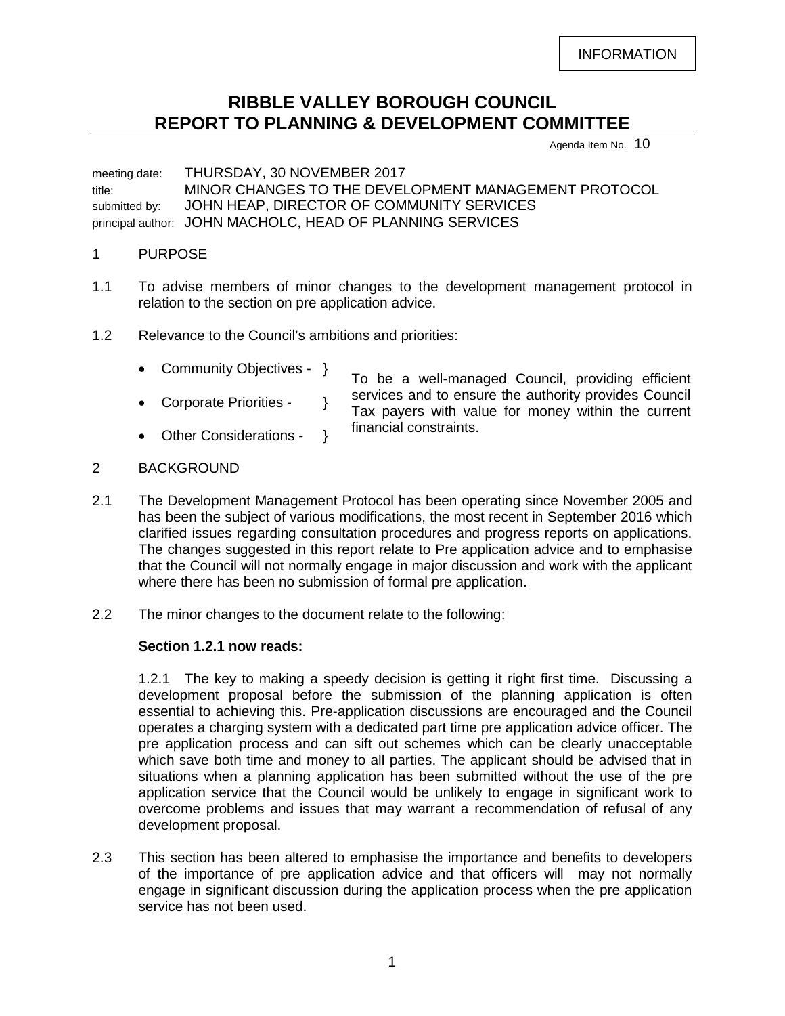INFORMATION

# **RIBBLE VALLEY BOROUGH COUNCIL REPORT TO PLANNING & DEVELOPMENT COMMITTEE**

Agenda Item No. 10

meeting date: THURSDAY, 30 NOVEMBER 2017 title: MINOR CHANGES TO THE DEVELOPMENT MANAGEMENT PROTOCOL submitted by: JOHN HEAP, DIRECTOR OF COMMUNITY SERVICES principal author: JOHN MACHOLC, HEAD OF PLANNING SERVICES

#### 1 PURPOSE

- 1.1 To advise members of minor changes to the development management protocol in relation to the section on pre application advice.
- 1.2 Relevance to the Council's ambitions and priorities:
	- Community Objectives }
	- Corporate Priorities }
	- Other Considerations }

To be a well-managed Council, providing efficient services and to ensure the authority provides Council Tax payers with value for money within the current financial constraints.

## 2 BACKGROUND

- 2.1 The Development Management Protocol has been operating since November 2005 and has been the subject of various modifications, the most recent in September 2016 which clarified issues regarding consultation procedures and progress reports on applications. The changes suggested in this report relate to Pre application advice and to emphasise that the Council will not normally engage in major discussion and work with the applicant where there has been no submission of formal pre application.
- 2.2 The minor changes to the document relate to the following:

#### **Section 1.2.1 now reads:**

1.2.1 The key to making a speedy decision is getting it right first time. Discussing a development proposal before the submission of the planning application is often essential to achieving this. Pre-application discussions are encouraged and the Council operates a charging system with a dedicated part time pre application advice officer. The pre application process and can sift out schemes which can be clearly unacceptable which save both time and money to all parties. The applicant should be advised that in situations when a planning application has been submitted without the use of the pre application service that the Council would be unlikely to engage in significant work to overcome problems and issues that may warrant a recommendation of refusal of any development proposal.

2.3 This section has been altered to emphasise the importance and benefits to developers of the importance of pre application advice and that officers will may not normally engage in significant discussion during the application process when the pre application service has not been used.